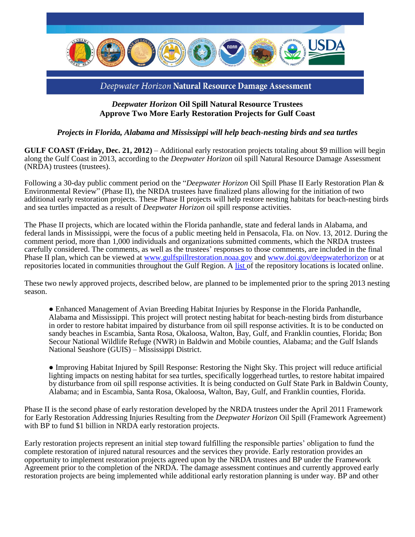

## *Deepwater Horizon* **Oil Spill Natural Resource Trustees Approve Two More Early Restoration Projects for Gulf Coast**

## *Projects in Florida, Alabama and Mississippi will help beach-nesting birds and sea turtles*

**GULF COAST (Friday, Dec. 21, 2012)** – Additional early restoration projects totaling about \$9 million will begin along the Gulf Coast in 2013, according to the *Deepwater Horizon* oil spill Natural Resource Damage Assessment (NRDA) trustees (trustees).

Following a 30-day public comment period on the "*Deepwater Horizon* Oil Spill Phase II Early Restoration Plan & Environmental Review" (Phase II), the NRDA trustees have finalized plans allowing for the initiation of two additional early restoration projects. These Phase II projects will help restore nesting habitats for beach-nesting birds and sea turtles impacted as a result of *Deepwater Horizon* oil spill response activities.

The Phase II projects, which are located within the Florida panhandle, state and federal lands in Alabama, and federal lands in Mississippi, were the focus of a public meeting held in Pensacola, Fla. on Nov. 13, 2012. During the comment period, more than 1,000 individuals and organizations submitted comments, which the NRDA trustees carefully considered. The comments, as well as the trustees' responses to those comments, are included in the final Phase II plan, which can be viewed at [www.gulfspillrestoration.noaa.gov](http://www.gulfspillrestoration.noaa.gov/early-restoration) and [www.doi.gov/deepwaterhorizon](http://www.doi.gov/deepwaterhorizon) or at repositories located in communities throughout the Gulf Region. A [list o](http://www.gulfspillrestoration.noaa.gov/wp-content/uploads/Repositiories-final-for-draft-Phase-II-7Nov12.pdf)f the repository locations is located online.

These two newly approved projects, described below, are planned to be implemented prior to the spring 2013 nesting season.

● Enhanced Management of Avian Breeding Habitat Injuries by Response in the Florida Panhandle, Alabama and Mississippi. This project will protect nesting habitat for beach-nesting birds from disturbance in order to restore habitat impaired by disturbance from oil spill response activities. It is to be conducted on sandy beaches in Escambia, Santa Rosa, Okaloosa, Walton, Bay, Gulf, and Franklin counties, Florida; Bon Secour National Wildlife Refuge (NWR) in Baldwin and Mobile counties, Alabama; and the Gulf Islands National Seashore (GUIS) – Mississippi District.

● Improving Habitat Injured by Spill Response: Restoring the Night Sky. This project will reduce artificial lighting impacts on nesting habitat for sea turtles, specifically loggerhead turtles, to restore habitat impaired by disturbance from oil spill response activities. It is being conducted on Gulf State Park in Baldwin County, Alabama; and in Escambia, Santa Rosa, Okaloosa, Walton, Bay, Gulf, and Franklin counties, Florida.

Phase II is the second phase of early restoration developed by the NRDA trustees under the April 2011 Framework for Early Restoration Addressing Injuries Resulting from the *Deepwater Horizon* Oil Spill (Framework Agreement) with BP to fund \$1 billion in NRDA early restoration projects.

Early restoration projects represent an initial step toward fulfilling the responsible parties' obligation to fund the complete restoration of injured natural resources and the services they provide. Early restoration provides an opportunity to implement restoration projects agreed upon by the NRDA trustees and BP under the Framework Agreement prior to the completion of the NRDA. The damage assessment continues and currently approved early restoration projects are being implemented while additional early restoration planning is under way. BP and other